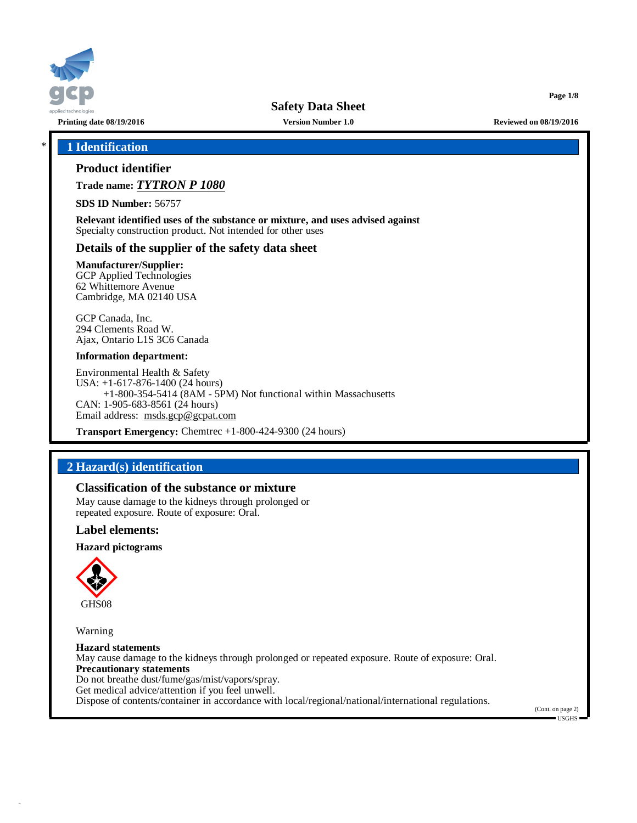

**Page 1/8**

# \* **1 Identification**

# **Product identifier**

**Trade name:** *TYTRON P 1080*

**SDS ID Number:** 56757

**Relevant identified uses of the substance or mixture, and uses advised against** Specialty construction product. Not intended for other uses

# **Details of the supplier of the safety data sheet**

**Manufacturer/Supplier:** GCP Applied Technologies

62 Whittemore Avenue Cambridge, MA 02140 USA

GCP Canada, Inc. 294 Clements Road W. Ajax, Ontario L1S 3C6 Canada

#### **Information department:**

Environmental Health & Safety USA: +1-617-876-1400 (24 hours) +1-800-354-5414 (8AM - 5PM) Not functional within Massachusetts CAN: 1-905-683-8561 (24 hours) Email address: [msds.gcp@gcpat.com](mailto:msds.gcp@gcpat.com)

**Transport Emergency:** Chemtrec +1-800-424-9300 (24 hours)

# **2 Hazard(s) identification**

# **Classification of the substance or mixture**

May cause damage to the kidneys through prolonged or repeated exposure. Route of exposure: Oral.

### **Label elements:**

**Hazard pictograms**



Warning

**Hazard statements** May cause damage to the kidneys through prolonged or repeated exposure. Route of exposure: Oral. **Precautionary statements** Do not breathe dust/fume/gas/mist/vapors/spray. Get medical advice/attention if you feel unwell. Dispose of contents/container in accordance with local/regional/national/international regulations.

(Cont. on page 2)  $\blacksquare$  USGHS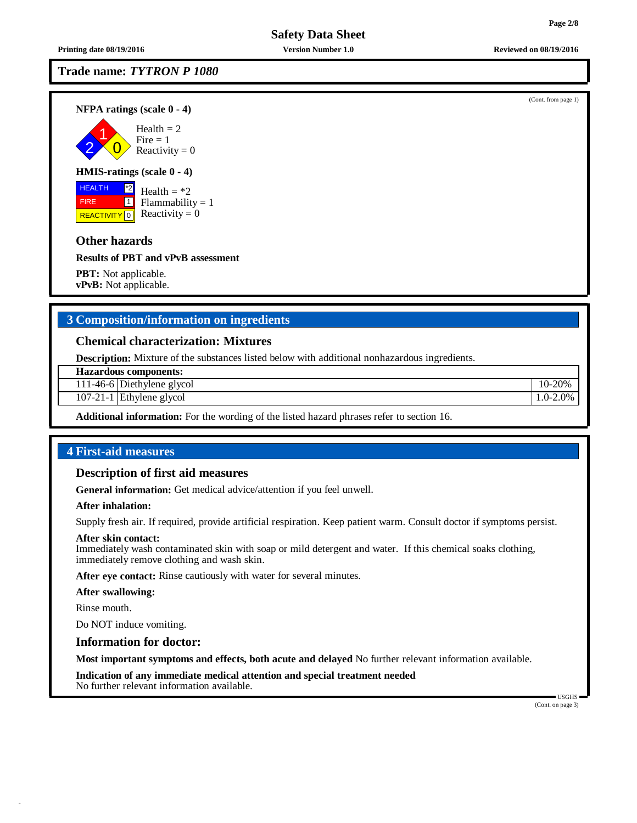**Trade name:** *TYTRON P 1080*

**NFPA ratings (scale 0 - 4)**



# **HMIS-ratings (scale 0 - 4)**

**HEALTH**  FIRE REACTIVITY  $\boxed{0}$  Reactivity = 0 \*2  $\overline{1}$ Health  $=$  \*2  $Flammability = 1$ 

# **Other hazards**

**Results of PBT and vPvB assessment**

**PBT:** Not applicable. **vPvB:** Not applicable.

# **3 Composition/information on ingredients**

# **Chemical characterization: Mixtures**

**Description:** Mixture of the substances listed below with additional nonhazardous ingredients.

**Hazardous components:**

111-46-6 Diethylene glycol 10-20%

107-21-1 Ethylene glycol 1.0-2.0%

**Additional information:** For the wording of the listed hazard phrases refer to section 16.

# **4 First-aid measures**

### **Description of first aid measures**

**General information:** Get medical advice/attention if you feel unwell.

#### **After inhalation:**

Supply fresh air. If required, provide artificial respiration. Keep patient warm. Consult doctor if symptoms persist.

### **After skin contact:**

Immediately wash contaminated skin with soap or mild detergent and water. If this chemical soaks clothing, immediately remove clothing and wash skin.

**After eye contact:** Rinse cautiously with water for several minutes.

## **After swallowing:**

Rinse mouth.

Do NOT induce vomiting.

## **Information for doctor:**

**Most important symptoms and effects, both acute and delayed** No further relevant information available.

**Indication of any immediate medical attention and special treatment needed** No further relevant information available.

> USGHS (Cont. on page 3)

**Printing date 08/19/2016 Version Number 1.0 Reviewed on 08/19/2016**

(Cont. from page 1)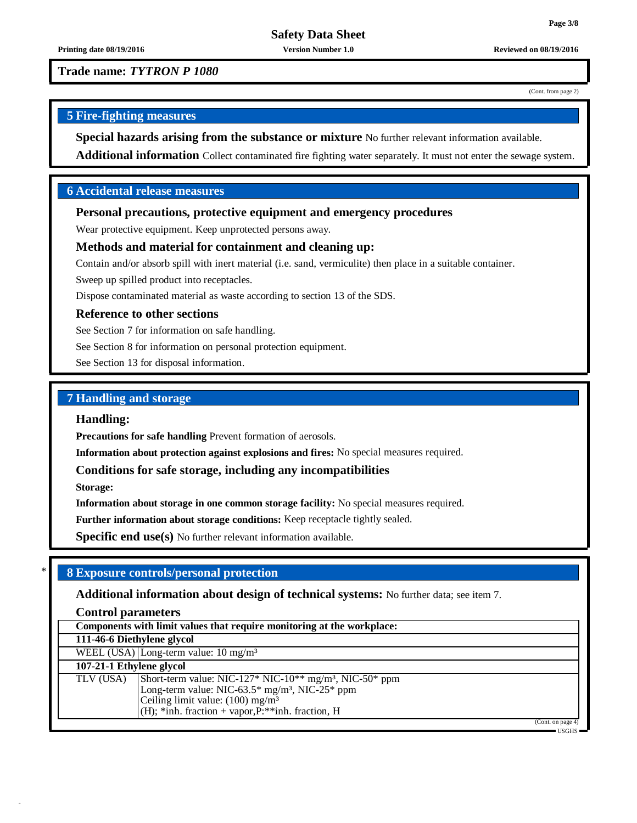**Printing date 08/19/2016 Version Number 1.0 Reviewed on 08/19/2016**

**Trade name:** *TYTRON P 1080*

(Cont. from page 2)

# **5 Fire-fighting measures**

**Special hazards arising from the substance or mixture** No further relevant information available.

**Additional information** Collect contaminated fire fighting water separately. It must not enter the sewage system.

# **6 Accidental release measures**

# **Personal precautions, protective equipment and emergency procedures**

Wear protective equipment. Keep unprotected persons away.

## **Methods and material for containment and cleaning up:**

Contain and/or absorb spill with inert material (i.e. sand, vermiculite) then place in a suitable container.

Sweep up spilled product into receptacles.

Dispose contaminated material as waste according to section 13 of the SDS.

# **Reference to other sections**

See Section 7 for information on safe handling.

See Section 8 for information on personal protection equipment.

See Section 13 for disposal information.

# **7 Handling and storage**

## **Handling:**

**Precautions for safe handling** Prevent formation of aerosols.

**Information about protection against explosions and fires:** No special measures required.

# **Conditions for safe storage, including any incompatibilities**

**Storage:**

**Information about storage in one common storage facility:** No special measures required.

**Further information about storage conditions:** Keep receptacle tightly sealed.

**Specific end use(s)** No further relevant information available.

# \* **8 Exposure controls/personal protection**

**Additional information about design of technical systems:** No further data; see item 7.

**Control parameters**

| Components with limit values that require monitoring at the workplace: |                                                                                                                                                                                                                                          |  |  |
|------------------------------------------------------------------------|------------------------------------------------------------------------------------------------------------------------------------------------------------------------------------------------------------------------------------------|--|--|
| 111-46-6 Diethylene glycol                                             |                                                                                                                                                                                                                                          |  |  |
|                                                                        | WEEL (USA) Long-term value: $10 \text{ mg/m}^3$                                                                                                                                                                                          |  |  |
| 107-21-1 Ethylene glycol                                               |                                                                                                                                                                                                                                          |  |  |
| TLV (USA)                                                              | Short-term value: NIC-127* NIC-10** $mg/m^3$ , NIC-50* ppm<br>Long-term value: NIC-63.5* $mg/m^3$ , NIC-25* ppm<br>Ceiling limit value: $(100)$ mg/m <sup>3</sup><br>$(H)$ ; *inh. fraction + vapor, $\overline{P}$ : **inh. fraction, H |  |  |
|                                                                        | (Cont. on page 4)                                                                                                                                                                                                                        |  |  |
|                                                                        | - USGHS =                                                                                                                                                                                                                                |  |  |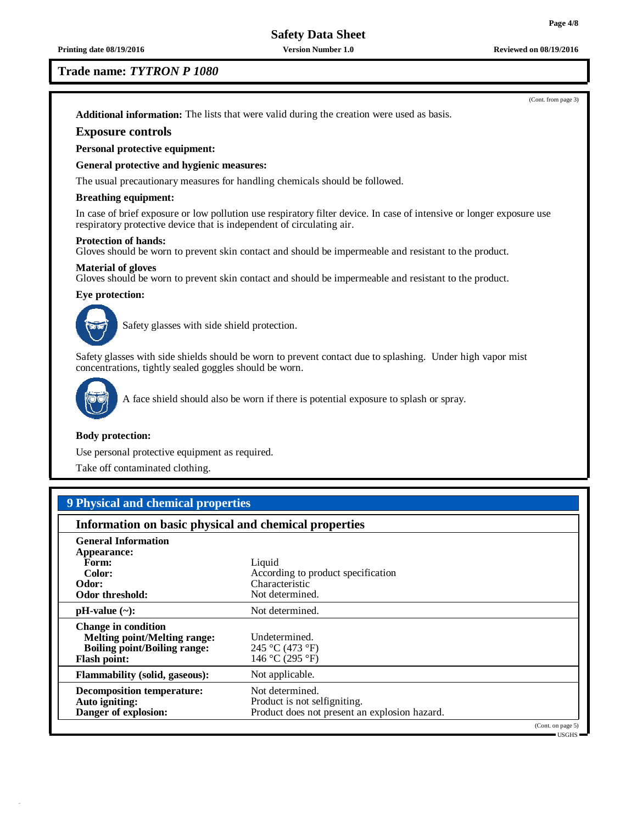### **Trade name:** *TYTRON P 1080*

(Cont. from page 3) **Additional information:** The lists that were valid during the creation were used as basis.

# **Exposure controls**

## **Personal protective equipment:**

### **General protective and hygienic measures:**

The usual precautionary measures for handling chemicals should be followed.

#### **Breathing equipment:**

In case of brief exposure or low pollution use respiratory filter device. In case of intensive or longer exposure use respiratory protective device that is independent of circulating air.

#### **Protection of hands:**

Gloves should be worn to prevent skin contact and should be impermeable and resistant to the product.

#### **Material of gloves**

Gloves should be worn to prevent skin contact and should be impermeable and resistant to the product.

## **Eye protection:**



Safety glasses with side shield protection.

Safety glasses with side shields should be worn to prevent contact due to splashing. Under high vapor mist concentrations, tightly sealed goggles should be worn.



A face shield should also be worn if there is potential exposure to splash or spray.

### **Body protection:**

Use personal protective equipment as required.

Take off contaminated clothing.

# **9 Physical and chemical properties**

| Information on basic physical and chemical properties                                                                           |                                                                                                  |                                                          |  |  |
|---------------------------------------------------------------------------------------------------------------------------------|--------------------------------------------------------------------------------------------------|----------------------------------------------------------|--|--|
| <b>General Information</b><br>Appearance:                                                                                       |                                                                                                  |                                                          |  |  |
| Form:                                                                                                                           | Liquid                                                                                           |                                                          |  |  |
| Color:                                                                                                                          | According to product specification                                                               |                                                          |  |  |
| Odor:                                                                                                                           | Characteristic                                                                                   |                                                          |  |  |
| Odor threshold:                                                                                                                 | Not determined.                                                                                  |                                                          |  |  |
| $pH-value$ (~):                                                                                                                 | Not determined.                                                                                  |                                                          |  |  |
| <b>Change in condition</b><br><b>Melting point/Melting range:</b><br><b>Boiling point/Boiling range:</b><br><b>Flash point:</b> | Undetermined.<br>245 °C (473 °F)<br>146 °C (295 °F)                                              |                                                          |  |  |
| <b>Flammability (solid, gaseous):</b>                                                                                           | Not applicable.                                                                                  |                                                          |  |  |
| <b>Decomposition temperature:</b><br>Auto igniting:<br>Danger of explosion:                                                     | Not determined.<br>Product is not selfigniting.<br>Product does not present an explosion hazard. |                                                          |  |  |
|                                                                                                                                 |                                                                                                  | (Cont. on page 5)<br>$\blacksquare$ ischs $\blacksquare$ |  |  |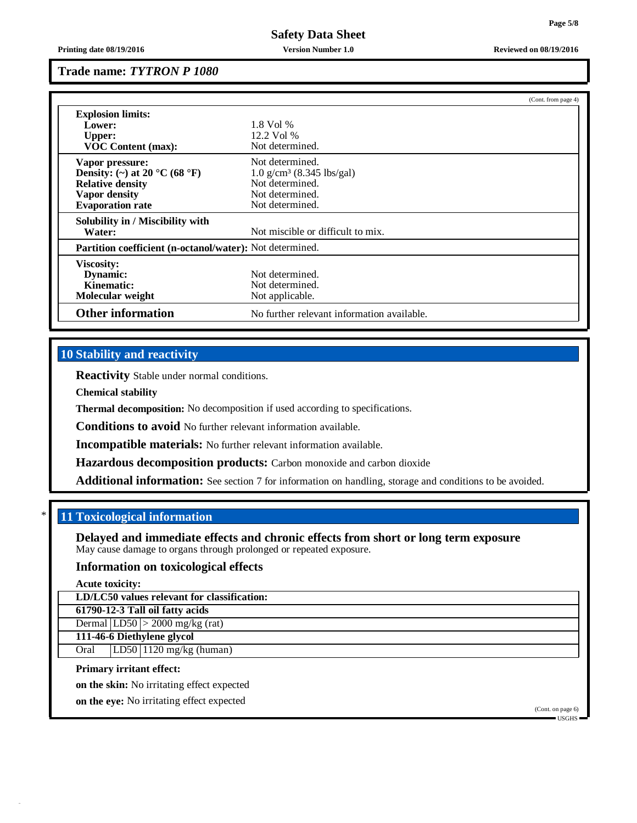**Printing date 08/19/2016 Version Number 1.0 Reviewed on 08/19/2016**

# **Trade name:** *TYTRON P 1080*

|                                  |                                                          | (Cont. from page 4) |  |  |  |
|----------------------------------|----------------------------------------------------------|---------------------|--|--|--|
| <b>Explosion limits:</b>         |                                                          |                     |  |  |  |
| Lower:                           | $1.8$ Vol %                                              |                     |  |  |  |
| Upper:                           | 12.2 Vol %                                               |                     |  |  |  |
| <b>VOC Content (max):</b>        | Not determined.                                          |                     |  |  |  |
| Vapor pressure:                  | Not determined.                                          |                     |  |  |  |
| Density: (~) at 20 °C (68 °F)    | $1.0 \text{ g/cm}^3$ (8.345 lbs/gal)                     |                     |  |  |  |
| <b>Relative density</b>          | Not determined.                                          |                     |  |  |  |
| <b>Vapor density</b>             | Not determined.                                          |                     |  |  |  |
| <b>Evaporation rate</b>          | Not determined.                                          |                     |  |  |  |
| Solubility in / Miscibility with |                                                          |                     |  |  |  |
| Water:                           | Not miscible or difficult to mix.                        |                     |  |  |  |
|                                  | Partition coefficient (n-octanol/water): Not determined. |                     |  |  |  |
| <b>Viscosity:</b>                |                                                          |                     |  |  |  |
| Dynamic:                         | Not determined.                                          |                     |  |  |  |
| Kinematic:                       | Not determined.                                          |                     |  |  |  |
| Molecular weight                 | Not applicable.                                          |                     |  |  |  |
| <b>Other information</b>         | No further relevant information available.               |                     |  |  |  |

# **10 Stability and reactivity**

**Reactivity** Stable under normal conditions.

**Chemical stability**

**Thermal decomposition:** No decomposition if used according to specifications.

**Conditions to avoid** No further relevant information available.

**Incompatible materials:** No further relevant information available.

**Hazardous decomposition products:** Carbon monoxide and carbon dioxide

**Additional information:** See section 7 for information on handling, storage and conditions to be avoided.

# \* **11 Toxicological information**

**Delayed and immediate effects and chronic effects from short or long term exposure** May cause damage to organs through prolonged or repeated exposure.

# **Information on toxicological effects**

**Acute toxicity:**

**LD/LC50 values relevant for classification:**

**61790-12-3 Tall oil fatty acids**

Dermal  $|LD50| > 2000$  mg/kg (rat)

**111-46-6 Diethylene glycol**

Oral LD50 1120 mg/kg (human)

## **Primary irritant effect:**

**on the skin:** No irritating effect expected

**on the eye:** No irritating effect expected

(Cont. on page 6) USGHS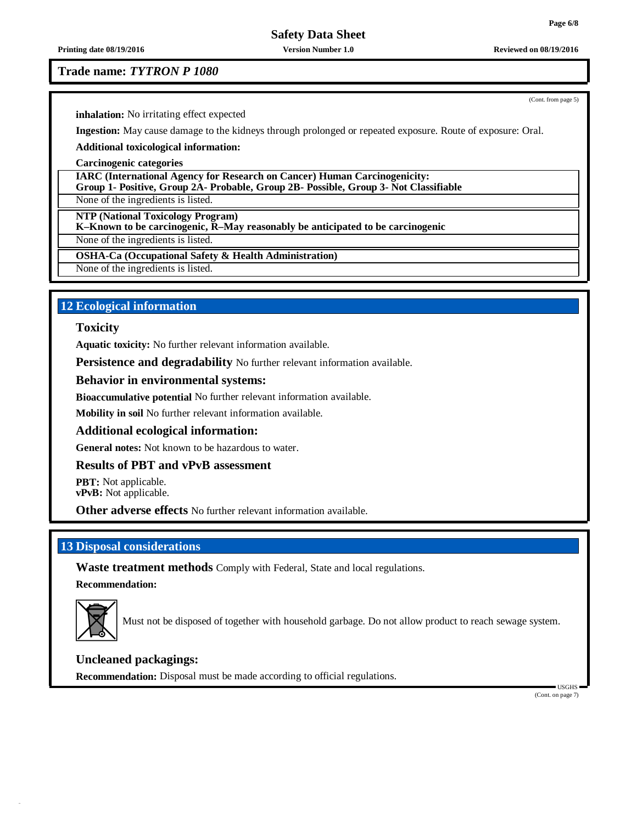**Printing date 08/19/2016 Version Number 1.0 Reviewed on 08/19/2016**

**Trade name:** *TYTRON P 1080*

**inhalation:** No irritating effect expected

**Ingestion:** May cause damage to the kidneys through prolonged or repeated exposure. Route of exposure: Oral.

**Additional toxicological information:**

**Carcinogenic categories**

**IARC (International Agency for Research on Cancer) Human Carcinogenicity: Group 1- Positive, Group 2A- Probable, Group 2B- Possible, Group 3- Not Classifiable**

None of the ingredients is listed.

**NTP (National Toxicology Program)**

**K–Known to be carcinogenic, R–May reasonably be anticipated to be carcinogenic**

None of the ingredients is listed.

**OSHA-Ca (Occupational Safety & Health Administration)**

None of the ingredients is listed.

# **12 Ecological information**

## **Toxicity**

**Aquatic toxicity:** No further relevant information available.

**Persistence and degradability** No further relevant information available.

### **Behavior in environmental systems:**

**Bioaccumulative potential** No further relevant information available.

**Mobility in soil** No further relevant information available.

# **Additional ecological information:**

**General notes:** Not known to be hazardous to water.

# **Results of PBT and vPvB assessment**

**PBT:** Not applicable. **vPvB:** Not applicable.

**Other adverse effects** No further relevant information available.

# **13 Disposal considerations**

**Waste treatment methods** Comply with Federal, State and local regulations.

**Recommendation:**



Must not be disposed of together with household garbage. Do not allow product to reach sewage system.

### **Uncleaned packagings:**

**Recommendation:** Disposal must be made according to official regulations.

(Cont. on page 7)

USGHS

(Cont. from page 5)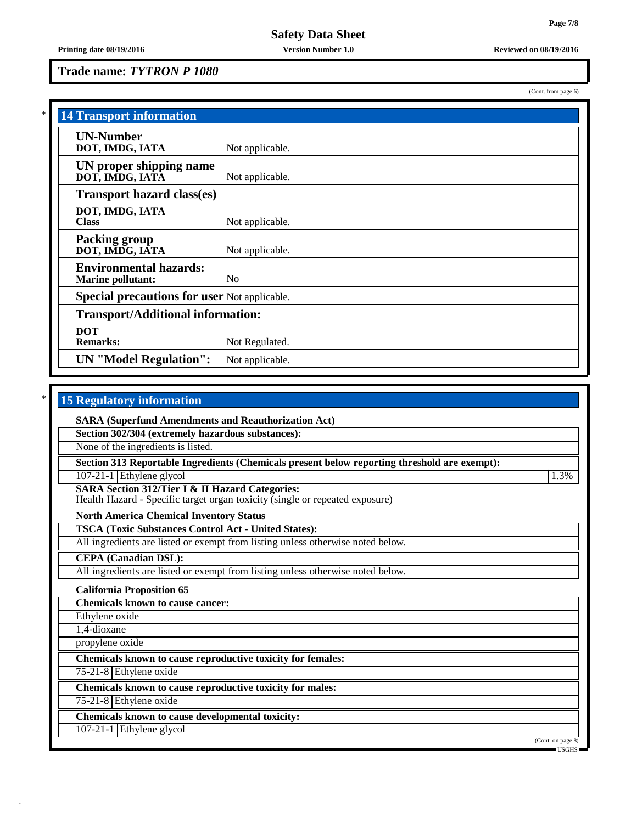(Cont. from page 6)

# **Trade name:** *TYTRON P 1080*

| <b>14 Transport information</b>                           |                 |  |
|-----------------------------------------------------------|-----------------|--|
| <b>UN-Number</b><br>DOT, IMDG, IATA                       | Not applicable. |  |
| UN proper shipping name<br>DOT, IMDG, IATĀ                | Not applicable. |  |
| <b>Transport hazard class(es)</b>                         |                 |  |
| DOT, IMDG, IATA<br><b>Class</b>                           | Not applicable. |  |
| <b>Packing group</b><br>DOT, IMDG, IATA                   | Not applicable. |  |
| <b>Environmental hazards:</b><br><b>Marine pollutant:</b> | N <sub>0</sub>  |  |
| <b>Special precautions for user Not applicable.</b>       |                 |  |
| <b>Transport/Additional information:</b>                  |                 |  |
| <b>DOT</b><br><b>Remarks:</b>                             | Not Regulated.  |  |
| <b>UN</b> "Model Regulation":                             | Not applicable. |  |

# \* **15 Regulatory information**

**SARA (Superfund Amendments and Reauthorization Act)**

**Section 302/304 (extremely hazardous substances):**

None of the ingredients is listed.

**Section 313 Reportable Ingredients (Chemicals present below reporting threshold are exempt):**

107-21-1 Ethylene glycol 1.3%

**SARA Section 312/Tier I & II Hazard Categories:**

Health Hazard - Specific target organ toxicity (single or repeated exposure)

**North America Chemical Inventory Status**

**TSCA (Toxic Substances Control Act - United States):**

All ingredients are listed or exempt from listing unless otherwise noted below.

**CEPA (Canadian DSL):**

All ingredients are listed or exempt from listing unless otherwise noted below.

**California Proposition 65**

**Chemicals known to cause cancer:**

Ethylene oxide

1,4-dioxane

propylene oxide

**Chemicals known to cause reproductive toxicity for females:**

75-21-8 Ethylene oxide

**Chemicals known to cause reproductive toxicity for males:**

75-21-8 Ethylene oxide

**Chemicals known to cause developmental toxicity:**

107-21-1 Ethylene glycol

(Cont. on page 8)